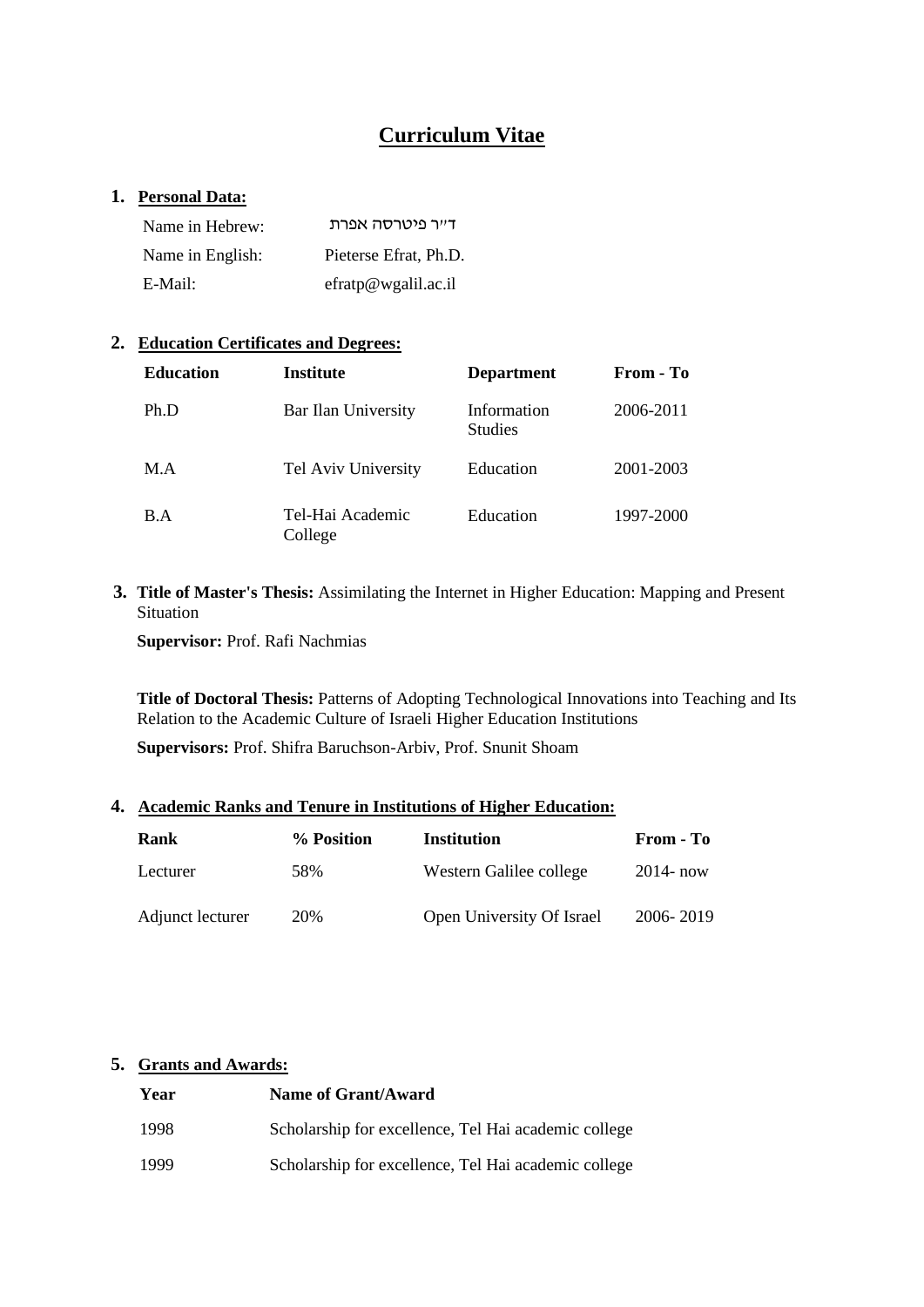# **Curriculum Vitae**

## **1. Personal Data:**

| Name in Hebrew:  | דייר פיטרסה אפרת      |
|------------------|-----------------------|
| Name in English: | Pieterse Efrat, Ph.D. |
| E-Mail:          | effatp@wgalil.ac.i    |

#### **2. Education Certificates and Degrees:**

| <b>Education</b> | <b>Institute</b>            | <b>Department</b>             | From - To |
|------------------|-----------------------------|-------------------------------|-----------|
| Ph.D             | Bar Ilan University         | Information<br><b>Studies</b> | 2006-2011 |
| M.A              | Tel Aviv University         | Education                     | 2001-2003 |
| B.A              | Tel-Hai Academic<br>College | Education                     | 1997-2000 |

**3. Title of Master's Thesis:** Assimilating the Internet in Higher Education: Mapping and Present Situation

**Supervisor:** Prof. Rafi Nachmias

**Title of Doctoral Thesis:** Patterns of Adopting Technological Innovations into Teaching and Its Relation to the Academic Culture of Israeli Higher Education Institutions

**Supervisors:** Prof. Shifra Baruchson-Arbiv, Prof. Snunit Shoam

#### **4. Academic Ranks and Tenure in Institutions of Higher Education:**

| <b>Rank</b>      | % Position | Institution               | From - To    |
|------------------|------------|---------------------------|--------------|
| Lecturer         | 58%        | Western Galilee college   | $2014 - now$ |
| Adjunct lecturer | 20%        | Open University Of Israel | 2006-2019    |

## **5. Grants and Awards:**

| Year | Name of Grant/Award                                  |
|------|------------------------------------------------------|
| 1998 | Scholarship for excellence, Tel Hai academic college |
| 1999 | Scholarship for excellence, Tel Hai academic college |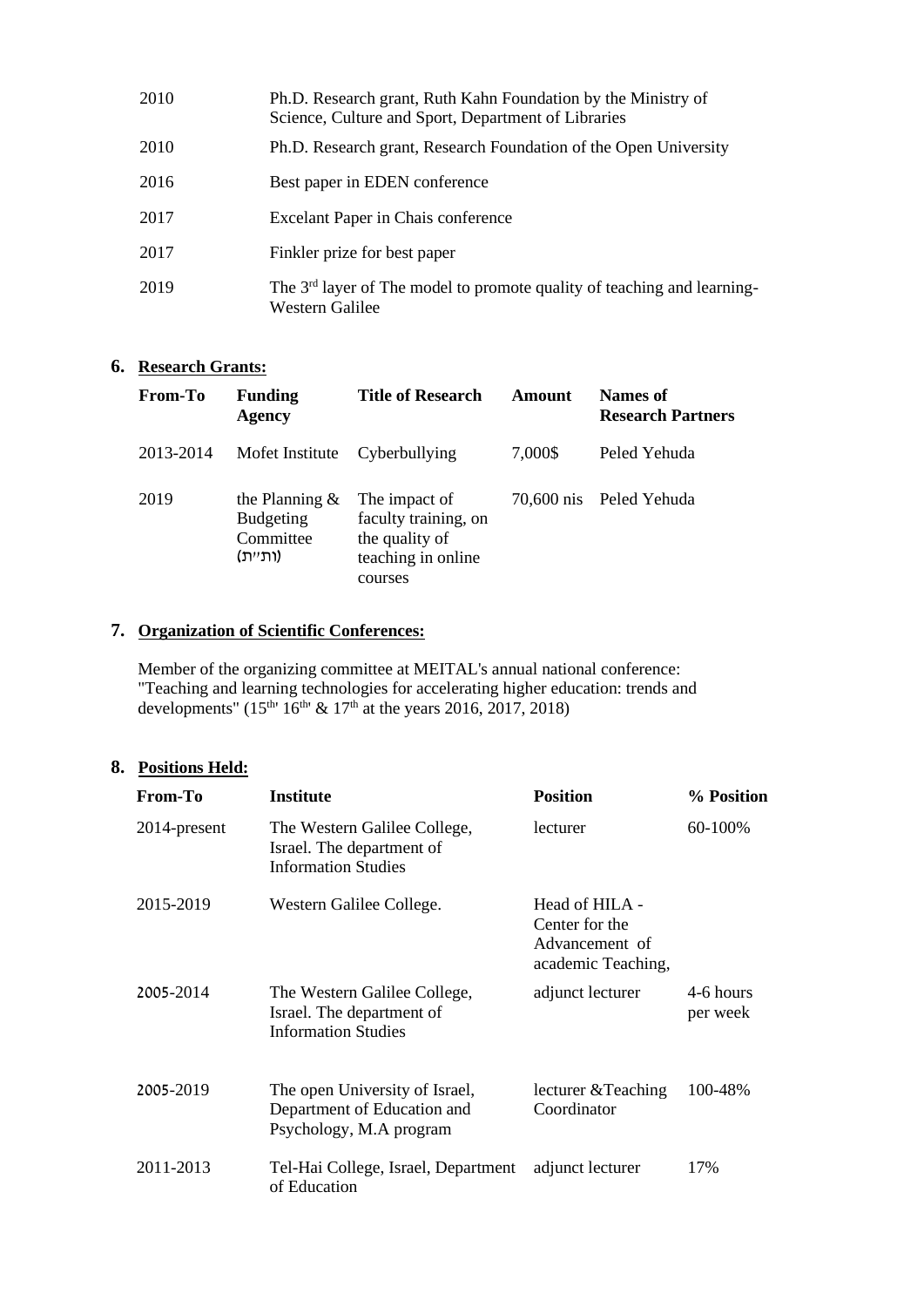| 2010 | Ph.D. Research grant, Ruth Kahn Foundation by the Ministry of<br>Science, Culture and Sport, Department of Libraries |
|------|----------------------------------------------------------------------------------------------------------------------|
| 2010 | Ph.D. Research grant, Research Foundation of the Open University                                                     |
| 2016 | Best paper in EDEN conference                                                                                        |
| 2017 | Excelant Paper in Chais conference                                                                                   |
| 2017 | Finkler prize for best paper                                                                                         |
| 2019 | The 3 <sup>rd</sup> layer of The model to promote quality of teaching and learning-<br>Western Galilee               |

# **6. Research Grants:**

| From-To   | <b>Funding</b><br><b>Agency</b>                               | <b>Title of Research</b>                                                                 | Amount  | Names of<br><b>Research Partners</b> |
|-----------|---------------------------------------------------------------|------------------------------------------------------------------------------------------|---------|--------------------------------------|
| 2013-2014 | Mofet Institute                                               | Cyberbullying                                                                            | 7,000\$ | Peled Yehuda                         |
| 2019      | the Planning $\&$<br><b>Budgeting</b><br>Committee<br>(ותיית) | The impact of<br>faculty training, on<br>the quality of<br>teaching in online<br>courses |         | 70,600 nis Peled Yehuda              |

# **7. Organization of Scientific Conferences:**

Member of the organizing committee at MEITAL's annual national conference: "Teaching and learning technologies for accelerating higher education: trends and developments" (15<sup>th</sup>' 16<sup>th</sup>' & 17<sup>th</sup> at the years 2016, 2017, 2018)

## **8. Positions Held:**

| From-To      | <b>Institute</b>                                                                         | <b>Position</b>                                                          | % Position            |
|--------------|------------------------------------------------------------------------------------------|--------------------------------------------------------------------------|-----------------------|
| 2014-present | The Western Galilee College,<br>Israel. The department of<br><b>Information Studies</b>  | lecturer                                                                 | 60-100%               |
| 2015-2019    | Western Galilee College.                                                                 | Head of HILA -<br>Center for the<br>Advancement of<br>academic Teaching, |                       |
| 2005-2014    | The Western Galilee College,<br>Israel. The department of<br><b>Information Studies</b>  | adjunct lecturer                                                         | 4-6 hours<br>per week |
| 2005-2019    | The open University of Israel,<br>Department of Education and<br>Psychology, M.A program | lecturer & Teaching<br>Coordinator                                       | 100-48%               |
| 2011-2013    | Tel-Hai College, Israel, Department<br>of Education                                      | adjunct lecturer                                                         | 17%                   |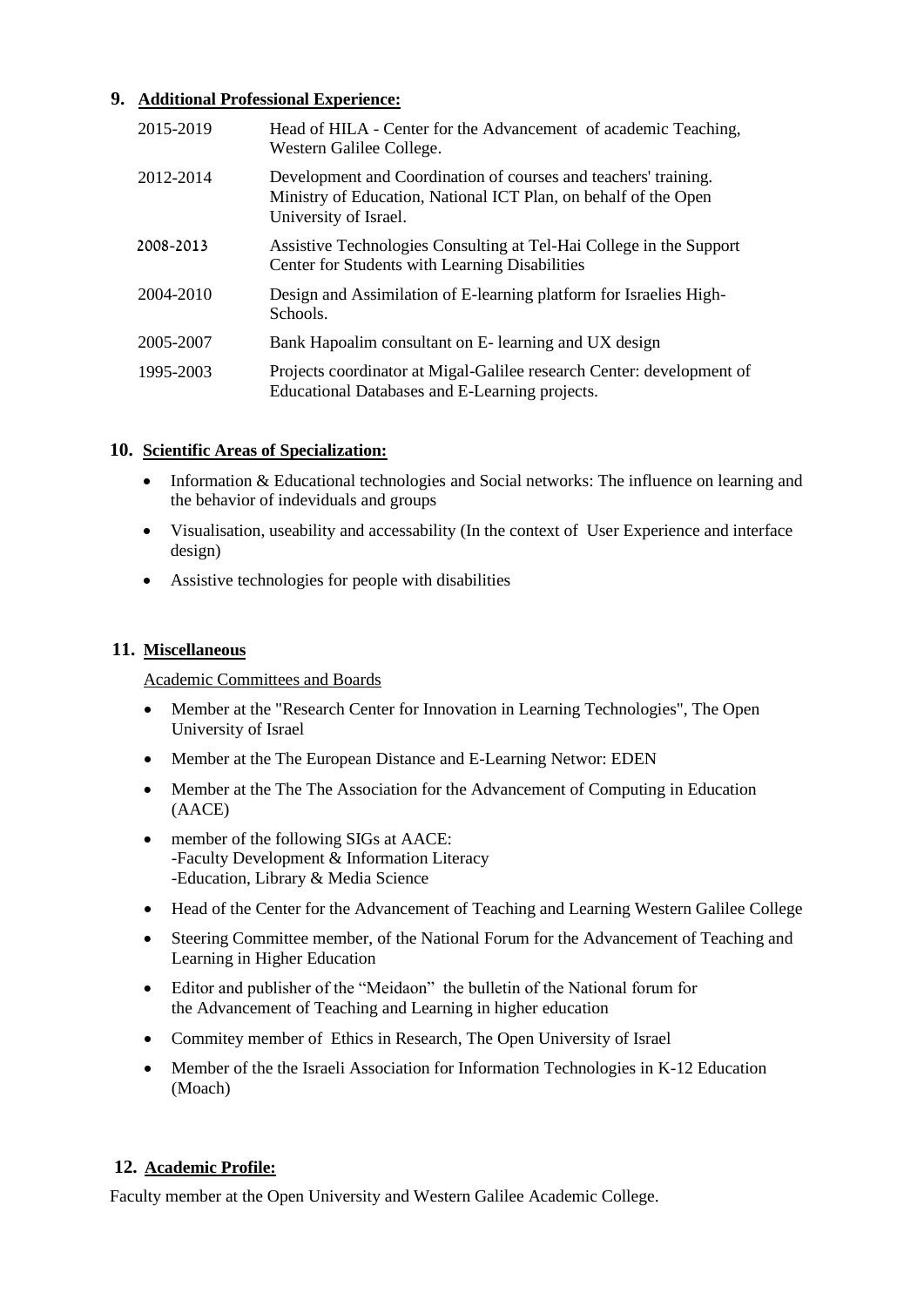## **9. Additional Professional Experience:**

| 2015-2019 | Head of HILA - Center for the Advancement of academic Teaching,<br>Western Galilee College.                                                                 |
|-----------|-------------------------------------------------------------------------------------------------------------------------------------------------------------|
| 2012-2014 | Development and Coordination of courses and teachers' training.<br>Ministry of Education, National ICT Plan, on behalf of the Open<br>University of Israel. |
| 2008-2013 | Assistive Technologies Consulting at Tel-Hai College in the Support<br>Center for Students with Learning Disabilities                                       |
| 2004-2010 | Design and Assimilation of E-learning platform for Israelies High-<br>Schools.                                                                              |
| 2005-2007 | Bank Hapoalim consultant on E- learning and UX design                                                                                                       |
| 1995-2003 | Projects coordinator at Migal-Galilee research Center: development of<br>Educational Databases and E-Learning projects.                                     |

## **10. Scientific Areas of Specialization:**

- Information & Educational technologies and Social networks: The influence on learning and the behavior of indeviduals and groups
- Visualisation, useability and accessability (In the context of User Experience and interface design)
- Assistive technologies for people with disabilities

## **11. Miscellaneous**

Academic Committees and Boards

- Member at the "Research Center for Innovation in Learning Technologies", The Open University of Israel
- Member at the The European Distance and E-Learning Networ: EDEN
- Member at the The The Association for the Advancement of Computing in Education (AACE)
- member of the following SIGs at AACE: -Faculty Development & Information Literacy -Education, Library & Media Science
- Head of the Center for the Advancement of Teaching and Learning Western Galilee College
- Steering Committee member, of the National Forum for the Advancement of Teaching and Learning in Higher Education
- Editor and publisher of the "Meidaon" the bulletin of the National forum for the Advancement of Teaching and Learning in higher education
- Commitey member of Ethics in Research, The Open University of Israel
- Member of the the Israeli Association for Information Technologies in K-12 Education (Moach)

# **12. Academic Profile:**

Faculty member at the Open University and Western Galilee Academic College.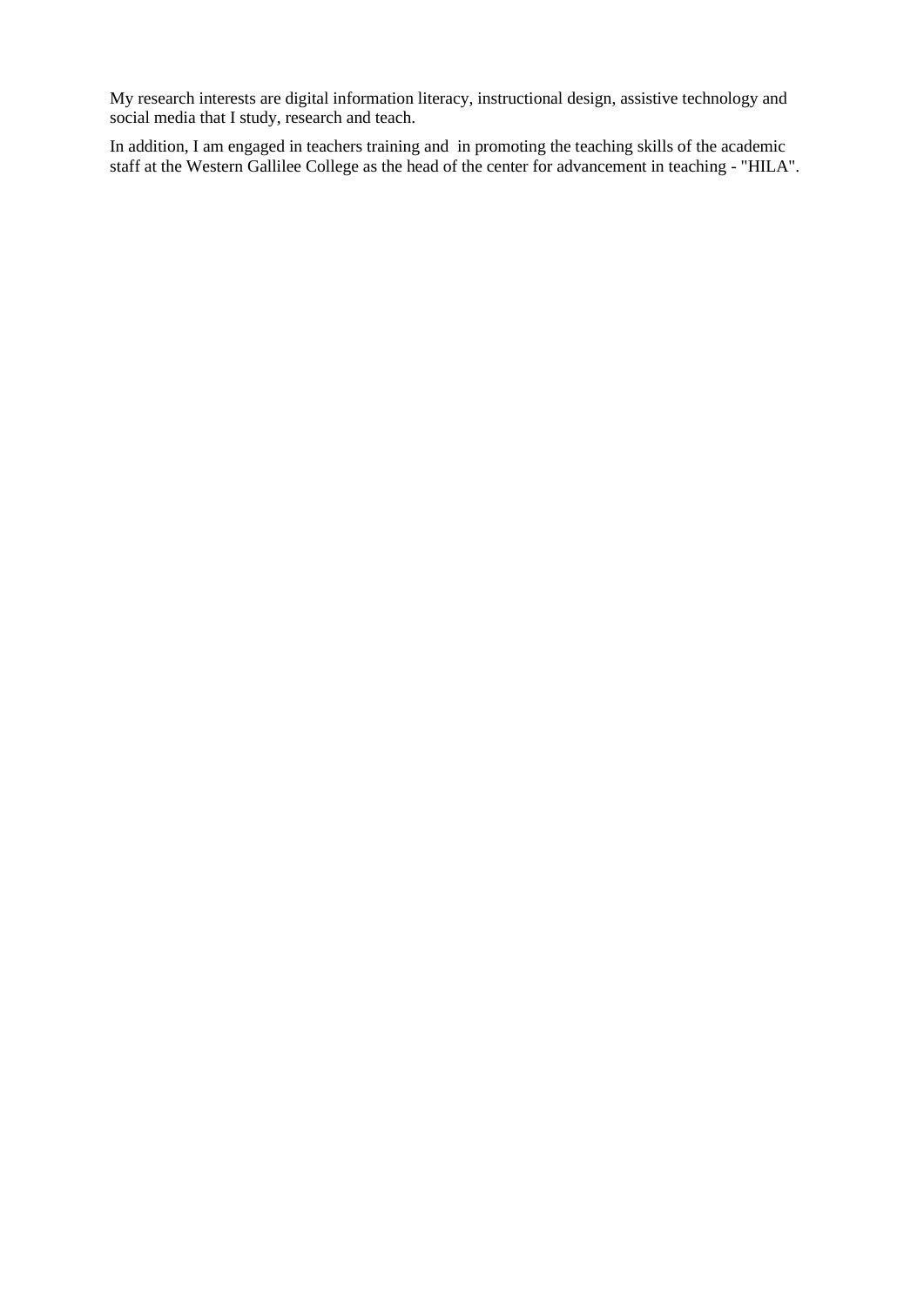My research interests are digital information literacy, instructional design, assistive technology and social media that I study, research and teach.

In addition, I am engaged in teachers training and in promoting the teaching skills of the academic staff at the Western Gallilee College as the head of the center for advancement in teaching - "HILA".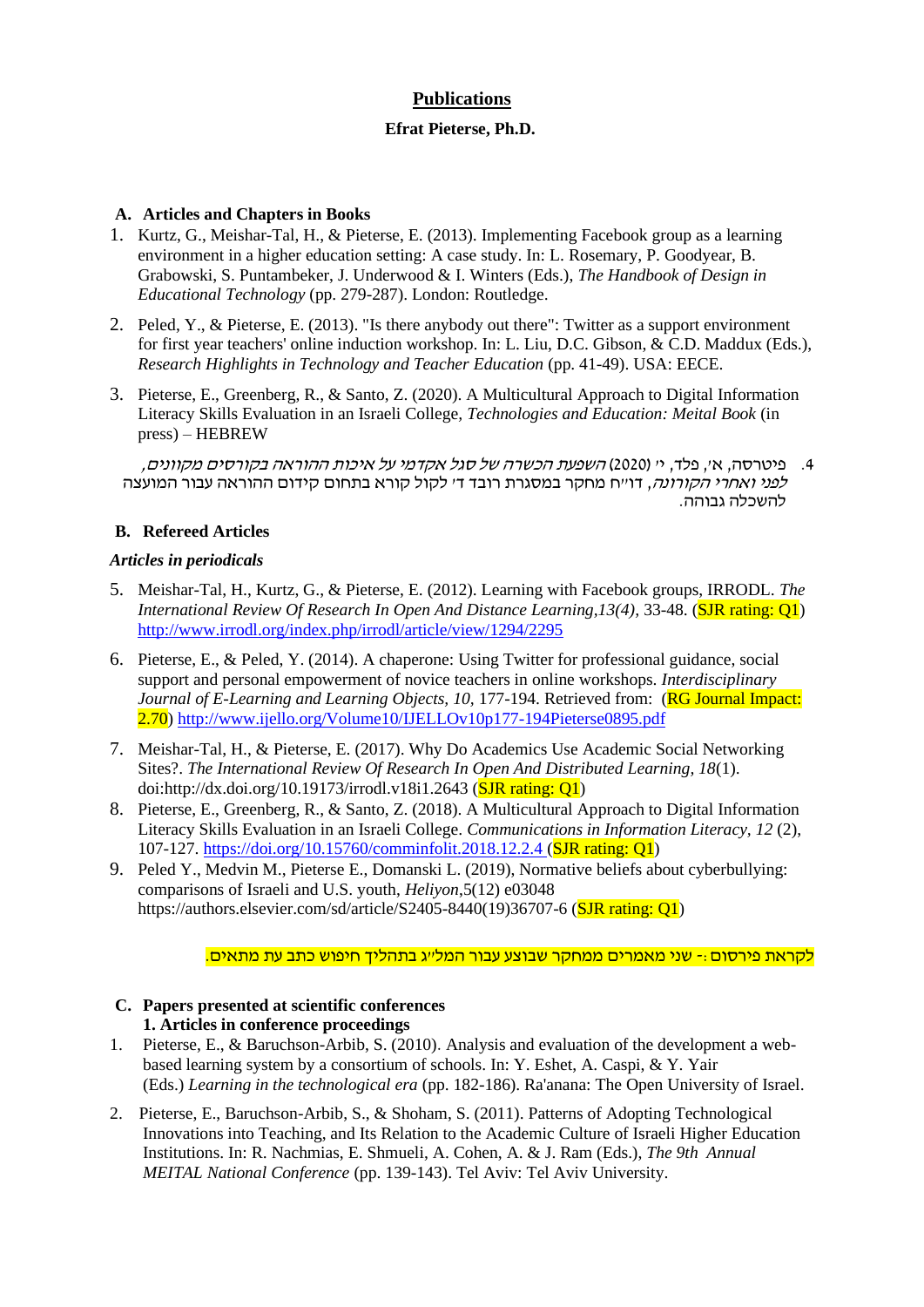# **Publications**

## **Efrat Pieterse, Ph.D.**

## **A. Articles and Chapters in Books**

- 1. Kurtz, G., Meishar-Tal, H., & Pieterse, E. (2013). Implementing Facebook group as a learning environment in a higher education setting: A case study. In: L. Rosemary, P. Goodyear, B. Grabowski, S. Puntambeker, J. Underwood & I. Winters (Eds.), *The Handbook of Design in Educational Technology* (pp. 279-287). London: Routledge.
- 2. Peled, Y., & Pieterse, E. (2013). "Is there anybody out there": Twitter as a support environment for first year teachers' online induction workshop. In: L. Liu, D.C. Gibson, & C.D. Maddux (Eds.), *Research Highlights in Technology and Teacher Education* (pp. 41-49). USA: EECE.
- 3. Pieterse, E., Greenberg, R., & Santo, Z. (2020). A Multicultural Approach to Digital Information Literacy Skills Evaluation in an Israeli College*, Technologies and Education: Meital Book* (in press) – HEBREW

.4 פיטרסה, א', פלד, י' )2020( השפעת הכשרה של סגל אקדמי על איכות ההוראה בקורסים מקוונים, ל*פני ואחרי הקורונה*, דו״ח מחקר במסגרת רובד ד׳ לקול קורא בתחום קידום ההוראה עבור המועצה להשכלה גבוהה.

## **B. Refereed Articles**

## *Articles in periodicals*

- 5. Meishar-Tal, H., Kurtz, G., & Pieterse, E. (2012). Learning with Facebook groups, IRRODL. *The International Review Of Research In Open And Distance Learning, 13(4), 33-48.* (*SJR rating: Q1*) <http://www.irrodl.org/index.php/irrodl/article/view/1294/2295>
- 6. Pieterse, E., & Peled, Y. (2014). A chaperone: Using Twitter for professional guidance, social support and personal empowerment of novice teachers in online workshops. *Interdisciplinary Journal of E-Learning and Learning Objects, 10, 177-194. Retrieved from: (RG Journal Impact:* 2.70)<http://www.ijello.org/Volume10/IJELLOv10p177-194Pieterse0895.pdf>
- 7. Meishar-Tal, H., & Pieterse, E. (2017). Why Do Academics Use Academic Social Networking Sites?. *The International Review Of Research In Open And Distributed Learning, 18*(1). doi[:http://dx.doi.org/10.19173/irrodl.v18i1.2643](http://dx.doi.org/10.19173/irrodl.v18i1.2643) (SJR rating:  $O1$ )
- 8. Pieterse, E., Greenberg, R., & Santo, Z. (2018). A Multicultural Approach to Digital Information Literacy Skills Evaluation in an Israeli College. *Communications in Information Literacy, 12* (2), 107-127. <https://doi.org/10.15760/comminfolit.2018.12.2.4> (SJR rating: Q1)
- 9. Peled Y., Medvin M., Pieterse E., Domanski L. (2019), Normative beliefs about cyberbullying: comparisons of Israeli and U.S. youth, *Heliyon*,5(12) e03048 [https://authors.elsevier.com/sd/article/S2405-8440\(19\)36707-6](https://authors.elsevier.com/sd/article/S2405-8440(19)36707-6) (SJR rating: O1)

#### לקראת פירסום-: שני מאמרים ממחקר שבוצע עבור המל"ג בתהליך חיפוש כתב עת מתאים.

## **C. Papers presented at scientific conferences 1. Articles in conference proceedings**

- 1. Pieterse, E., & Baruchson-Arbib, S. (2010). Analysis and evaluation of the development a webbased learning system by a consortium of schools. In: Y. Eshet, A. Caspi, & Y. Yair (Eds.) *Learning in the technological era* (pp. 182-186). Ra'anana: The Open University of Israel.
- 2. Pieterse, E., Baruchson-Arbib, S., & Shoham, S. (2011). Patterns of Adopting Technological Innovations into Teaching, and Its Relation to the Academic Culture of Israeli Higher Education Institutions. In: R. Nachmias, E. Shmueli, A. Cohen, A. & J. Ram (Eds.), *The 9th Annual MEITAL National Conference* (pp. 139-143). Tel Aviv: Tel Aviv University.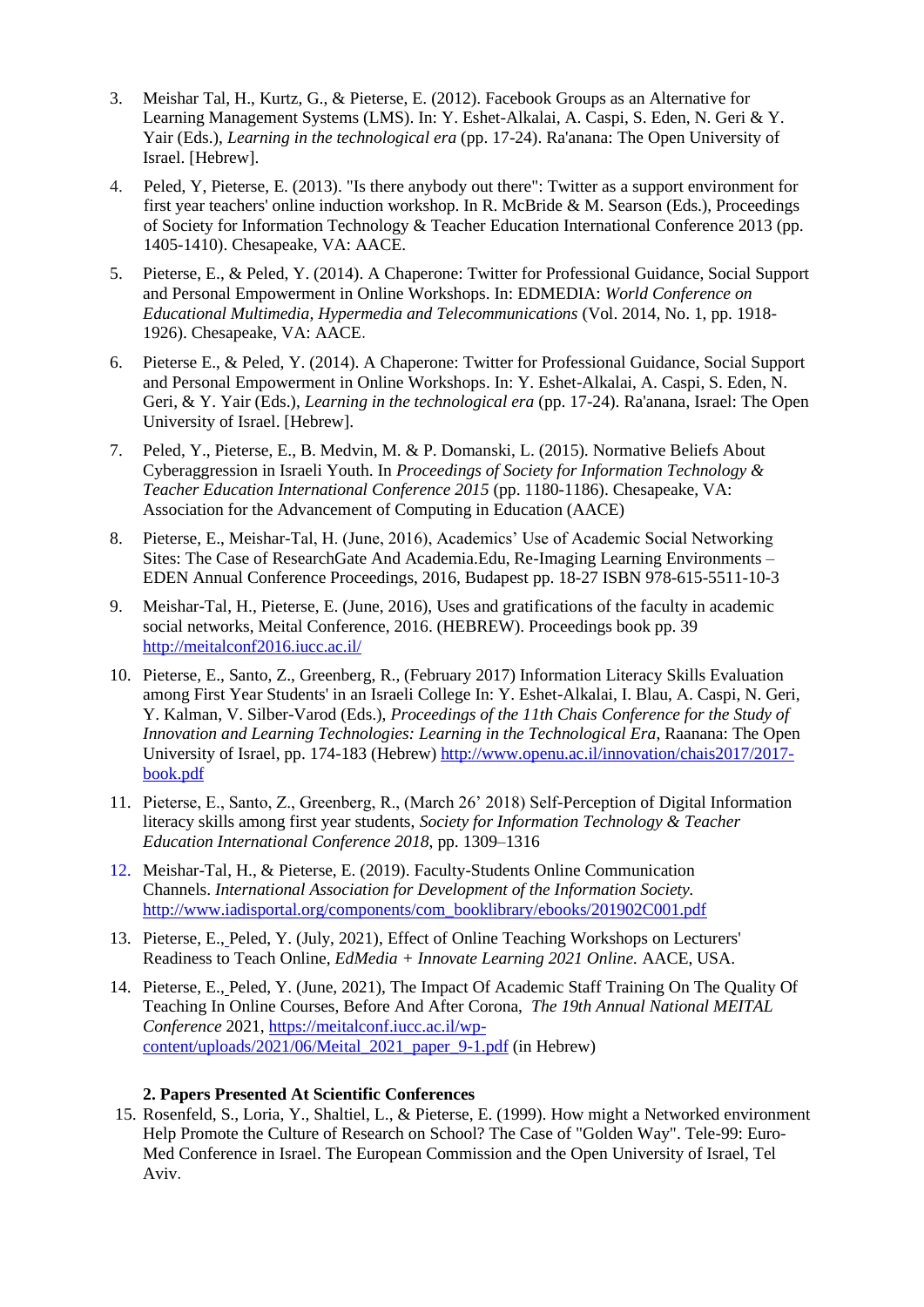- 3. Meishar Tal, H., Kurtz, G., & Pieterse, E. (2012). Facebook Groups as an Alternative for Learning Management Systems (LMS). In: Y. Eshet-Alkalai, A. Caspi, S. Eden, N. Geri & Y. Yair (Eds.), *Learning in the technological era* (pp. 17-24). Ra'anana: The Open University of Israel. [Hebrew].
- 4. Peled, Y, Pieterse, E. (2013). "Is there anybody out there": Twitter as a support environment for first year teachers' online induction workshop. In R. McBride & M. Searson (Eds.), Proceedings of Society for Information Technology & Teacher Education International Conference 2013 (pp. 1405-1410). Chesapeake, VA: AACE.
- 5. Pieterse, E., & Peled, Y. (2014). A Chaperone: Twitter for Professional Guidance, Social Support and Personal Empowerment in Online Workshops. In: EDMEDIA: *World Conference on Educational Multimedia, Hypermedia and Telecommunications* (Vol. 2014, No. 1, pp. 1918- 1926). Chesapeake, VA: AACE.
- 6. Pieterse E., & Peled, Y. (2014). A Chaperone: Twitter for Professional Guidance, Social Support and Personal Empowerment in Online Workshops. In: Y. Eshet-Alkalai, A. Caspi, S. Eden, N. Geri, & Y. Yair (Eds.), *Learning in the technological era* (pp. 17-24). Ra'anana, Israel: The Open University of Israel. [Hebrew].
- 7. Peled, Y., Pieterse, E., B. Medvin, M. & P. Domanski, L. (2015). Normative Beliefs About Cyberaggression in Israeli Youth. In *Proceedings of Society for Information Technology & Teacher Education International Conference 2015* (pp. 1180-1186). Chesapeake, VA: Association for the Advancement of Computing in Education (AACE)
- 8. Pieterse, E., Meishar-Tal, H. (June, 2016), Academics' Use of Academic Social Networking Sites: The Case of ResearchGate And Academia.Edu, Re-Imaging Learning Environments – EDEN Annual Conference Proceedings, 2016, Budapest pp. 18-27 ISBN 978-615-5511-10-3
- 9. Meishar-Tal, H., Pieterse, E. (June, 2016), Uses and gratifications of the faculty in academic social networks, Meital Conference, 2016. (HEBREW). Proceedings book pp. 39 <http://meitalconf2016.iucc.ac.il/>
- 10. Pieterse, E., Santo, Z., Greenberg, R., (February 2017) Information Literacy Skills Evaluation among First Year Students' in an Israeli College In: Y. Eshet-Alkalai, I. Blau, A. Caspi, N. Geri, Y. Kalman, V. Silber-Varod (Eds.), *Proceedings of the 11th Chais Conference for the Study of Innovation and Learning Technologies: Learning in the Technological Era*, Raanana: The Open University of Israel, pp. 174-183 (Hebrew) [http://www.openu.ac.il/innovation/chais2017/2017](http://www.openu.ac.il/innovation/chais2017/2017-book.pdf) [book.pdf](http://www.openu.ac.il/innovation/chais2017/2017-book.pdf)
- 11. Pieterse, E., Santo, Z., Greenberg, R., (March 26' 2018) Self-Perception of Digital Information literacy skills among first year students, *Society for Information Technology & Teacher Education International Conference 2018*, pp. 1309–1316
- 12. Meishar-Tal, H., & Pieterse, E. (2019). Faculty-Students Online Communication Channels. *International Association for Development of the Information Society.* [http://www.iadisportal.org/components/com\\_booklibrary/ebooks/201902C001.pdf](http://www.iadisportal.org/components/com_booklibrary/ebooks/201902C001.pdf)
- 13. Pieterse, E., Peled, Y. (July, 2021), Effect of Online Teaching Workshops on Lecturers' Readiness to Teach Online, *EdMedia + Innovate Learning 2021 Online.* AACE, USA.
- 14. Pieterse, E., Peled, Y. (June, 2021), The Impact Of Academic Staff Training On The Quality Of Teaching In Online Courses, Before And After Corona, *The 19th Annual National MEITAL Conference* 2021, [https://meitalconf.iucc.ac.il/wp](https://meitalconf.iucc.ac.il/wp-content/uploads/2021/06/Meital_2021_paper_9-1.pdf)[content/uploads/2021/06/Meital\\_2021\\_paper\\_9-1.pdf](https://meitalconf.iucc.ac.il/wp-content/uploads/2021/06/Meital_2021_paper_9-1.pdf) (in Hebrew)

#### **2. Papers Presented At Scientific Conferences**

15. Rosenfeld, S., Loria, Y., Shaltiel, L., & Pieterse, E. (1999). How might a Networked environment Help Promote the Culture of Research on School? The Case of "Golden Way". Tele-99: Euro-Med Conference in Israel. The European Commission and the Open University of Israel, Tel Aviv.